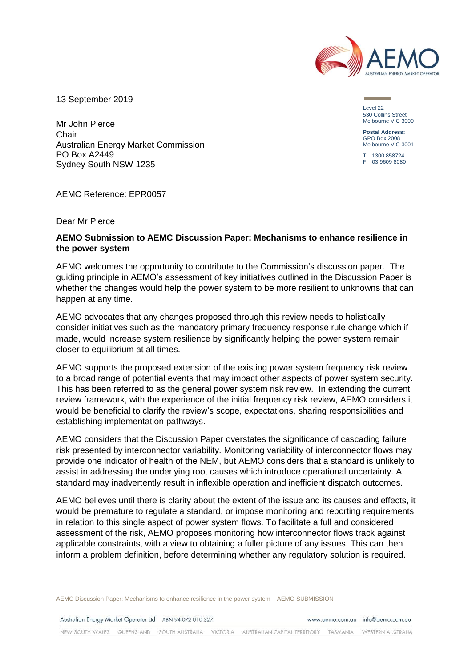

13 September 2019

Mr John Pierce **Chair** Australian Energy Market Commission PO Box A2449 Sydney South NSW 1235

Level 22 530 Collins Street Melbourne VIC 3000

**Postal Address:** GPO Box 2008 Melbourne VIC 3001

 $1300 858724$ F 03 9609 8080

AEMC Reference: EPR0057

Dear Mr Pierce

#### **AEMO Submission to AEMC Discussion Paper: Mechanisms to enhance resilience in the power system**

AEMO welcomes the opportunity to contribute to the Commission's discussion paper. The guiding principle in AEMO's assessment of key initiatives outlined in the Discussion Paper is whether the changes would help the power system to be more resilient to unknowns that can happen at any time.

AEMO advocates that any changes proposed through this review needs to holistically consider initiatives such as the mandatory primary frequency response rule change which if made, would increase system resilience by significantly helping the power system remain closer to equilibrium at all times.

AEMO supports the proposed extension of the existing power system frequency risk review to a broad range of potential events that may impact other aspects of power system security. This has been referred to as the general power system risk review. In extending the current review framework, with the experience of the initial frequency risk review, AEMO considers it would be beneficial to clarify the review's scope, expectations, sharing responsibilities and establishing implementation pathways.

AEMO considers that the Discussion Paper overstates the significance of cascading failure risk presented by interconnector variability. Monitoring variability of interconnector flows may provide one indicator of health of the NEM, but AEMO considers that a standard is unlikely to assist in addressing the underlying root causes which introduce operational uncertainty. A standard may inadvertently result in inflexible operation and inefficient dispatch outcomes.

AEMO believes until there is clarity about the extent of the issue and its causes and effects, it would be premature to regulate a standard, or impose monitoring and reporting requirements in relation to this single aspect of power system flows. To facilitate a full and considered assessment of the risk, AEMO proposes monitoring how interconnector flows track against applicable constraints, with a view to obtaining a fuller picture of any issues. This can then inform a problem definition, before determining whether any regulatory solution is required.

AEMC Discussion Paper: Mechanisms to enhance resilience in the power system – AEMO SUBMISSION

Australian Energy Market Operator Ltd ABN 94 072 010 327

www.gemo.com.gu info@gemo.com.gu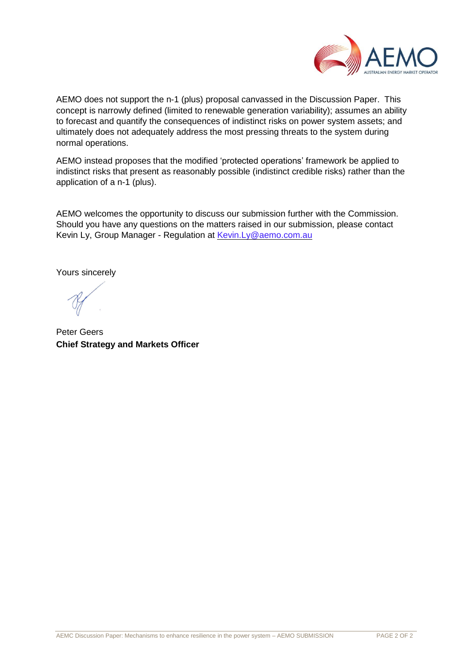

AEMO does not support the n-1 (plus) proposal canvassed in the Discussion Paper. This concept is narrowly defined (limited to renewable generation variability); assumes an ability to forecast and quantify the consequences of indistinct risks on power system assets; and ultimately does not adequately address the most pressing threats to the system during normal operations.

AEMO instead proposes that the modified 'protected operations' framework be applied to indistinct risks that present as reasonably possible (indistinct credible risks) rather than the application of a n-1 (plus).

AEMO welcomes the opportunity to discuss our submission further with the Commission. Should you have any questions on the matters raised in our submission, please contact Kevin Ly, Group Manager - Regulation at [Kevin.Ly@aemo.com.au](mailto:Kevin.Ly@aemo.com.au)

Yours sincerely

Peter Geers **Chief Strategy and Markets Officer**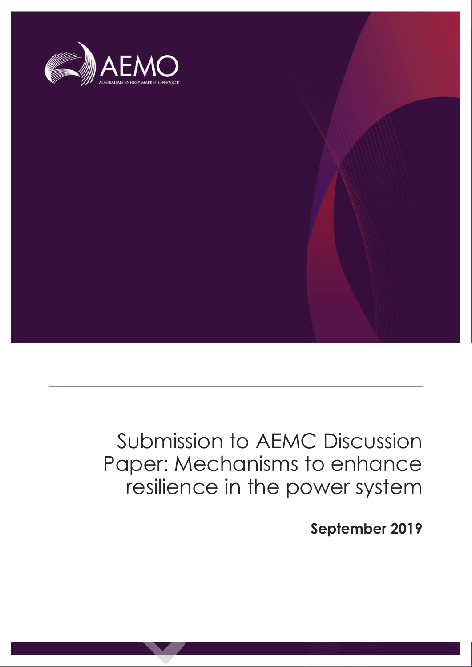

## Submission to AEMC Discussion Paper: Mechanisms to enhance resilience in the power system

**September 2019**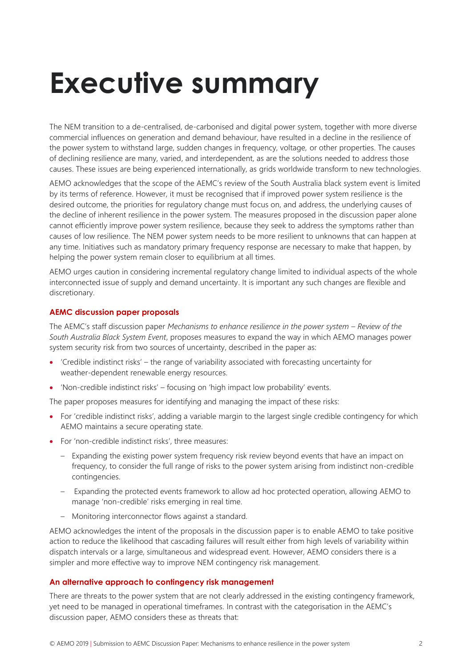# **Executive summary**

The NEM transition to a de-centralised, de-carbonised and digital power system, together with more diverse commercial influences on generation and demand behaviour, have resulted in a decline in the resilience of the power system to withstand large, sudden changes in frequency, voltage, or other properties. The causes of declining resilience are many, varied, and interdependent, as are the solutions needed to address those causes. These issues are being experienced internationally, as grids worldwide transform to new technologies.

AEMO acknowledges that the scope of the AEMC's review of the South Australia black system event is limited by its terms of reference. However, it must be recognised that if improved power system resilience is the desired outcome, the priorities for regulatory change must focus on, and address, the underlying causes of the decline of inherent resilience in the power system. The measures proposed in the discussion paper alone cannot efficiently improve power system resilience, because they seek to address the symptoms rather than causes of low resilience. The NEM power system needs to be more resilient to unknowns that can happen at any time. Initiatives such as mandatory primary frequency response are necessary to make that happen, by helping the power system remain closer to equilibrium at all times.

AEMO urges caution in considering incremental regulatory change limited to individual aspects of the whole interconnected issue of supply and demand uncertainty. It is important any such changes are flexible and discretionary.

#### **AEMC discussion paper proposals**

The AEMC's staff discussion paper *Mechanisms to enhance resilience in the power system – Review of the South Australia Black System Event*, proposes measures to expand the way in which AEMO manages power system security risk from two sources of uncertainty, described in the paper as:

- 'Credible indistinct risks' the range of variability associated with forecasting uncertainty for weather-dependent renewable energy resources.
- 'Non-credible indistinct risks' focusing on 'high impact low probability' events.

The paper proposes measures for identifying and managing the impact of these risks:

- For 'credible indistinct risks', adding a variable margin to the largest single credible contingency for which AEMO maintains a secure operating state.
- For 'non-credible indistinct risks', three measures:
	- Expanding the existing power system frequency risk review beyond events that have an impact on frequency, to consider the full range of risks to the power system arising from indistinct non-credible contingencies.
	- Expanding the protected events framework to allow ad hoc protected operation, allowing AEMO to manage 'non-credible' risks emerging in real time.
	- Monitoring interconnector flows against a standard.

AEMO acknowledges the intent of the proposals in the discussion paper is to enable AEMO to take positive action to reduce the likelihood that cascading failures will result either from high levels of variability within dispatch intervals or a large, simultaneous and widespread event. However, AEMO considers there is a simpler and more effective way to improve NEM contingency risk management.

#### **An alternative approach to contingency risk management**

There are threats to the power system that are not clearly addressed in the existing contingency framework, yet need to be managed in operational timeframes. In contrast with the categorisation in the AEMC's discussion paper, AEMO considers these as threats that: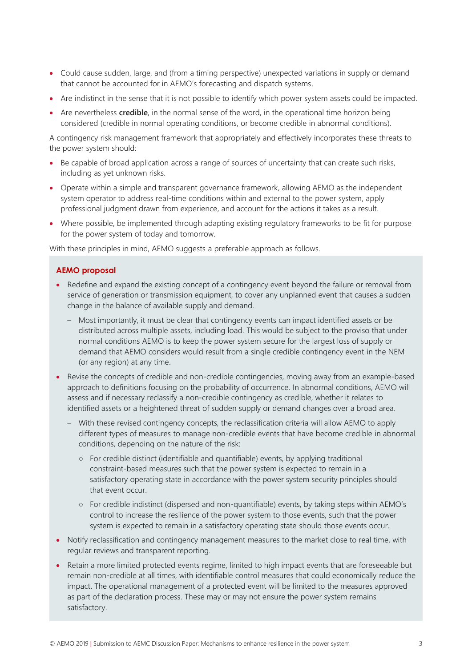- Could cause sudden, large, and (from a timing perspective) unexpected variations in supply or demand that cannot be accounted for in AEMO's forecasting and dispatch systems.
- Are indistinct in the sense that it is not possible to identify which power system assets could be impacted.
- Are nevertheless **credible**, in the normal sense of the word, in the operational time horizon being considered (credible in normal operating conditions, or become credible in abnormal conditions).

A contingency risk management framework that appropriately and effectively incorporates these threats to the power system should:

- Be capable of broad application across a range of sources of uncertainty that can create such risks, including as yet unknown risks.
- Operate within a simple and transparent governance framework, allowing AEMO as the independent system operator to address real-time conditions within and external to the power system, apply professional judgment drawn from experience, and account for the actions it takes as a result.
- Where possible, be implemented through adapting existing regulatory frameworks to be fit for purpose for the power system of today and tomorrow.

With these principles in mind, AEMO suggests a preferable approach as follows.

#### **AEMO proposal**

- Redefine and expand the existing concept of a contingency event beyond the failure or removal from service of generation or transmission equipment, to cover any unplanned event that causes a sudden change in the balance of available supply and demand.
	- Most importantly, it must be clear that contingency events can impact identified assets or be distributed across multiple assets, including load. This would be subject to the proviso that under normal conditions AEMO is to keep the power system secure for the largest loss of supply or demand that AEMO considers would result from a single credible contingency event in the NEM (or any region) at any time.
- Revise the concepts of credible and non-credible contingencies, moving away from an example-based approach to definitions focusing on the probability of occurrence. In abnormal conditions, AEMO will assess and if necessary reclassify a non-credible contingency as credible, whether it relates to identified assets or a heightened threat of sudden supply or demand changes over a broad area.
	- With these revised contingency concepts, the reclassification criteria will allow AEMO to apply different types of measures to manage non-credible events that have become credible in abnormal conditions, depending on the nature of the risk:
		- For credible distinct (identifiable and quantifiable) events, by applying traditional constraint-based measures such that the power system is expected to remain in a satisfactory operating state in accordance with the power system security principles should that event occur.
		- For credible indistinct (dispersed and non-quantifiable) events, by taking steps within AEMO's control to increase the resilience of the power system to those events, such that the power system is expected to remain in a satisfactory operating state should those events occur.
- Notify reclassification and contingency management measures to the market close to real time, with regular reviews and transparent reporting.
- Retain a more limited protected events regime, limited to high impact events that are foreseeable but remain non-credible at all times, with identifiable control measures that could economically reduce the impact. The operational management of a protected event will be limited to the measures approved as part of the declaration process. These may or may not ensure the power system remains satisfactory.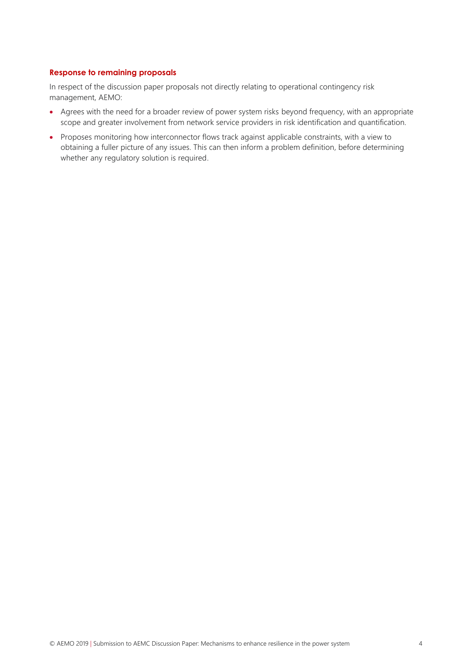#### **Response to remaining proposals**

In respect of the discussion paper proposals not directly relating to operational contingency risk management, AEMO:

- Agrees with the need for a broader review of power system risks beyond frequency, with an appropriate scope and greater involvement from network service providers in risk identification and quantification.
- Proposes monitoring how interconnector flows track against applicable constraints, with a view to obtaining a fuller picture of any issues. This can then inform a problem definition, before determining whether any regulatory solution is required.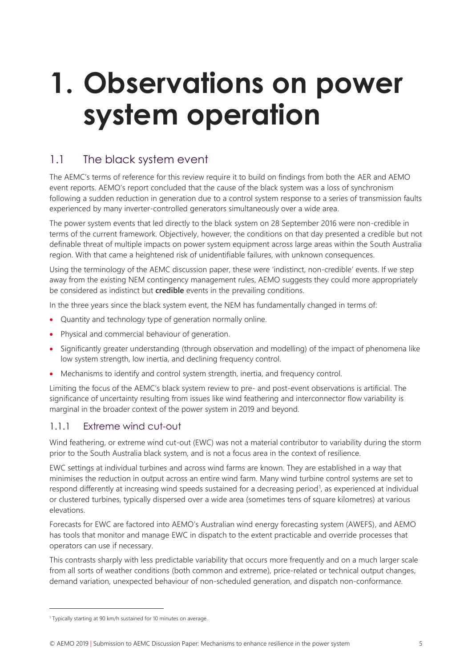# **1. Observations on power system operation**

## 1.1 The black system event

The AEMC's terms of reference for this review require it to build on findings from both the AER and AEMO event reports. AEMO's report concluded that the cause of the black system was a loss of synchronism following a sudden reduction in generation due to a control system response to a series of transmission faults experienced by many inverter-controlled generators simultaneously over a wide area.

The power system events that led directly to the black system on 28 September 2016 were non-credible in terms of the current framework. Objectively, however, the conditions on that day presented a credible but not definable threat of multiple impacts on power system equipment across large areas within the South Australia region. With that came a heightened risk of unidentifiable failures, with unknown consequences.

Using the terminology of the AEMC discussion paper, these were 'indistinct, non-credible' events. If we step away from the existing NEM contingency management rules, AEMO suggests they could more appropriately be considered as indistinct but **credible** events in the prevailing conditions.

In the three years since the black system event, the NEM has fundamentally changed in terms of:

- Quantity and technology type of generation normally online.
- Physical and commercial behaviour of generation.
- Significantly greater understanding (through observation and modelling) of the impact of phenomena like low system strength, low inertia, and declining frequency control.
- Mechanisms to identify and control system strength, inertia, and frequency control.

Limiting the focus of the AEMC's black system review to pre- and post-event observations is artificial. The significance of uncertainty resulting from issues like wind feathering and interconnector flow variability is marginal in the broader context of the power system in 2019 and beyond.

#### 1.1.1 Extreme wind cut-out

Wind feathering, or extreme wind cut-out (EWC) was not a material contributor to variability during the storm prior to the South Australia black system, and is not a focus area in the context of resilience.

EWC settings at individual turbines and across wind farms are known. They are established in a way that minimises the reduction in output across an entire wind farm. Many wind turbine control systems are set to respond differently at increasing wind speeds sustained for a decreasing period<sup>1</sup>, as experienced at individual or clustered turbines, typically dispersed over a wide area (sometimes tens of square kilometres) at various elevations.

Forecasts for EWC are factored into AEMO's Australian wind energy forecasting system (AWEFS), and AEMO has tools that monitor and manage EWC in dispatch to the extent practicable and override processes that operators can use if necessary.

This contrasts sharply with less predictable variability that occurs more frequently and on a much larger scale from all sorts of weather conditions (both common and extreme), price-related or technical output changes, demand variation, unexpected behaviour of non-scheduled generation, and dispatch non-conformance.

<sup>&</sup>lt;sup>1</sup> Typically starting at 90 km/h sustained for 10 minutes on average.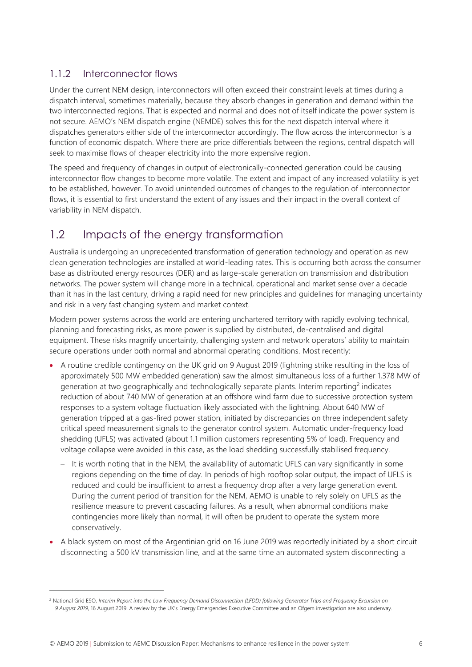#### 1.1.2 Interconnector flows

Under the current NEM design, interconnectors will often exceed their constraint levels at times during a dispatch interval, sometimes materially, because they absorb changes in generation and demand within the two interconnected regions. That is expected and normal and does not of itself indicate the power system is not secure. AEMO's NEM dispatch engine (NEMDE) solves this for the next dispatch interval where it dispatches generators either side of the interconnector accordingly. The flow across the interconnector is a function of economic dispatch. Where there are price differentials between the regions, central dispatch will seek to maximise flows of cheaper electricity into the more expensive region.

The speed and frequency of changes in output of electronically-connected generation could be causing interconnector flow changes to become more volatile. The extent and impact of any increased volatility is yet to be established, however. To avoid unintended outcomes of changes to the regulation of interconnector flows, it is essential to first understand the extent of any issues and their impact in the overall context of variability in NEM dispatch.

## 1.2 Impacts of the energy transformation

Australia is undergoing an unprecedented transformation of generation technology and operation as new clean generation technologies are installed at world-leading rates. This is occurring both across the consumer base as distributed energy resources (DER) and as large-scale generation on transmission and distribution networks. The power system will change more in a technical, operational and market sense over a decade than it has in the last century, driving a rapid need for new principles and guidelines for managing uncertainty and risk in a very fast changing system and market context.

Modern power systems across the world are entering unchartered territory with rapidly evolving technical, planning and forecasting risks, as more power is supplied by distributed, de-centralised and digital equipment. These risks magnify uncertainty, challenging system and network operators' ability to maintain secure operations under both normal and abnormal operating conditions. Most recently:

- A routine credible contingency on the UK grid on 9 August 2019 (lightning strike resulting in the loss of approximately 500 MW embedded generation) saw the almost simultaneous loss of a further 1,378 MW of generation at two geographically and technologically separate plants. Interim reporting<sup>2</sup> indicates reduction of about 740 MW of generation at an offshore wind farm due to successive protection system responses to a system voltage fluctuation likely associated with the lightning. About 640 MW of generation tripped at a gas-fired power station, initiated by discrepancies on three independent safety critical speed measurement signals to the generator control system. Automatic under-frequency load shedding (UFLS) was activated (about 1.1 million customers representing 5% of load). Frequency and voltage collapse were avoided in this case, as the load shedding successfully stabilised frequency.
	- It is worth noting that in the NEM, the availability of automatic UFLS can vary significantly in some regions depending on the time of day. In periods of high rooftop solar output, the impact of UFLS is reduced and could be insufficient to arrest a frequency drop after a very large generation event. During the current period of transition for the NEM, AEMO is unable to rely solely on UFLS as the resilience measure to prevent cascading failures. As a result, when abnormal conditions make contingencies more likely than normal, it will often be prudent to operate the system more conservatively.
- A black system on most of the Argentinian grid on 16 June 2019 was reportedly initiated by a short circuit disconnecting a 500 kV transmission line, and at the same time an automated system disconnecting a

<sup>&</sup>lt;sup>2</sup> National Grid ESO, Interim Report into the Low Frequency Demand Disconnection (LFDD) following Generator Trips and Frequency Excursion on *9 August 2019*, 16 August 2019. A review by the UK's Energy Emergencies Executive Committee and an Ofgem investigation are also underway.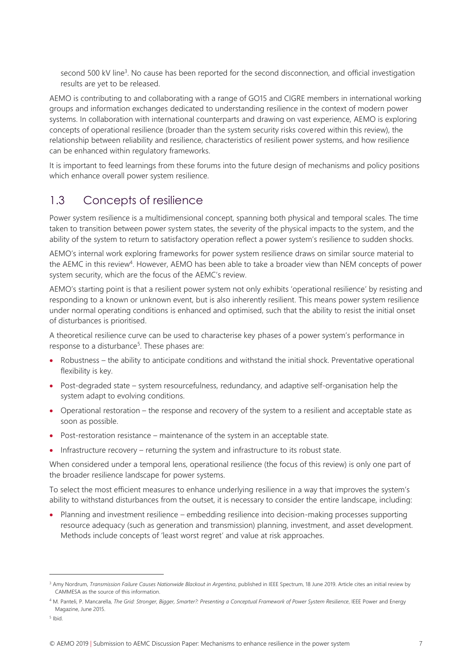second 500 kV line<sup>3</sup>. No cause has been reported for the second disconnection, and official investigation results are yet to be released.

AEMO is contributing to and collaborating with a range of GO15 and CIGRE members in international working groups and information exchanges dedicated to understanding resilience in the context of modern power systems. In collaboration with international counterparts and drawing on vast experience, AEMO is exploring concepts of operational resilience (broader than the system security risks covered within this review), the relationship between reliability and resilience, characteristics of resilient power systems, and how resilience can be enhanced within regulatory frameworks.

It is important to feed learnings from these forums into the future design of mechanisms and policy positions which enhance overall power system resilience.

### 1.3 Concepts of resilience

Power system resilience is a multidimensional concept, spanning both physical and temporal scales. The time taken to transition between power system states, the severity of the physical impacts to the system, and the ability of the system to return to satisfactory operation reflect a power system's resilience to sudden shocks.

AEMO's internal work exploring frameworks for power system resilience draws on similar source material to the AEMC in this review<sup>4</sup>. However, AEMO has been able to take a broader view than NEM concepts of power system security, which are the focus of the AEMC's review.

AEMO's starting point is that a resilient power system not only exhibits 'operational resilience' by resisting and responding to a known or unknown event, but is also inherently resilient. This means power system resilience under normal operating conditions is enhanced and optimised, such that the ability to resist the initial onset of disturbances is prioritised.

A theoretical resilience curve can be used to characterise key phases of a power system's performance in response to a disturbance<sup>5</sup>. These phases are:

- Robustness the ability to anticipate conditions and withstand the initial shock. Preventative operational flexibility is key.
- Post-degraded state system resourcefulness, redundancy, and adaptive self-organisation help the system adapt to evolving conditions.
- Operational restoration the response and recovery of the system to a resilient and acceptable state as soon as possible.
- Post-restoration resistance maintenance of the system in an acceptable state.
- Infrastructure recovery returning the system and infrastructure to its robust state.

When considered under a temporal lens, operational resilience (the focus of this review) is only one part of the broader resilience landscape for power systems.

To select the most efficient measures to enhance underlying resilience in a way that improves the system's ability to withstand disturbances from the outset, it is necessary to consider the entire landscape, including:

• Planning and investment resilience – embedding resilience into decision-making processes supporting resource adequacy (such as generation and transmission) planning, investment, and asset development. Methods include concepts of 'least worst regret' and value at risk approaches.

<sup>&</sup>lt;sup>3</sup> Amy Nordrum, Transmission Failure Causes Nationwide Blackout in Argentina, published in IEEE Spectrum, 18 June 2019. Article cites an initial review by CAMMESA as the source of this information.

<sup>4</sup> M. Panteli, P. Mancarella, *The Grid: Stronger, Bigger, Smarter?: Presenting a Conceptual Framework of Power System Resilience*, IEEE Power and Energy Magazine, June 2015.

<sup>5</sup> Ibid.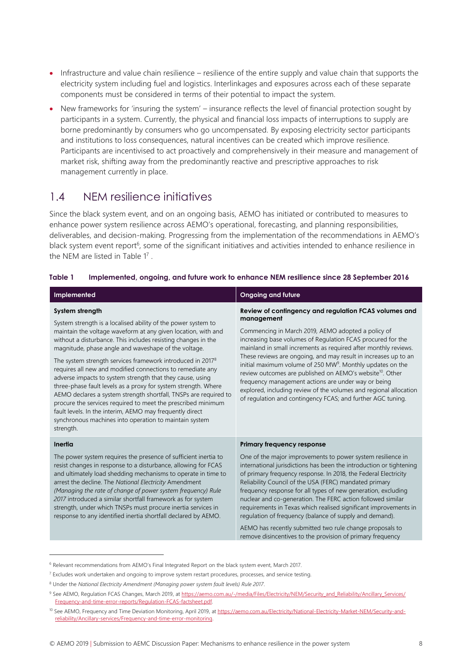- Infrastructure and value chain resilience resilience of the entire supply and value chain that supports the electricity system including fuel and logistics. Interlinkages and exposures across each of these separate components must be considered in terms of their potential to impact the system.
- New frameworks for 'insuring the system' insurance reflects the level of financial protection sought by participants in a system. Currently, the physical and financial loss impacts of interruptions to supply are borne predominantly by consumers who go uncompensated. By exposing electricity sector participants and institutions to loss consequences, natural incentives can be created which improve resilience. Participants are incentivised to act proactively and comprehensively in their measure and management of market risk, shifting away from the predominantly reactive and prescriptive approaches to risk management currently in place.

### <span id="page-9-1"></span>1.4 NEM resilience initiatives

Since the black system event, and on an ongoing basis, AEMO has initiated or contributed to measures to enhance power system resilience across AEMO's operational, forecasting, and planning responsibilities, deliverables, and decision-making. Progressing from the implementation of the recommendations in AEMO's black system event report<sup>6</sup>, some of the significant initiatives and activities intended to enhance resilience in the NEM are listed i[n Table 1](#page-9-0)7.

#### <span id="page-9-0"></span>**Table 1 Implemented, ongoing, and future work to enhance NEM resilience since 28 September 2016**

| Implemented                                                                                                                                                                                                                                                                                                                                                                                                                                                                                                                                                                                                                                                                                                                                                                                                              | <b>Ongoing and future</b>                                                                                                                                                                                                                                                                                                                                                                                                                                                                                                                                                                                                                                                    |
|--------------------------------------------------------------------------------------------------------------------------------------------------------------------------------------------------------------------------------------------------------------------------------------------------------------------------------------------------------------------------------------------------------------------------------------------------------------------------------------------------------------------------------------------------------------------------------------------------------------------------------------------------------------------------------------------------------------------------------------------------------------------------------------------------------------------------|------------------------------------------------------------------------------------------------------------------------------------------------------------------------------------------------------------------------------------------------------------------------------------------------------------------------------------------------------------------------------------------------------------------------------------------------------------------------------------------------------------------------------------------------------------------------------------------------------------------------------------------------------------------------------|
| System strength<br>System strength is a localised ability of the power system to<br>maintain the voltage waveform at any given location, with and<br>without a disturbance. This includes resisting changes in the<br>magnitude, phase angle and waveshape of the voltage.<br>The system strength services framework introduced in 2017 <sup>8</sup><br>requires all new and modified connections to remediate any<br>adverse impacts to system strength that they cause, using<br>three-phase fault levels as a proxy for system strength. Where<br>AEMO declares a system strength shortfall, TNSPs are required to<br>procure the services required to meet the prescribed minimum<br>fault levels. In the interim, AEMO may frequently direct<br>synchronous machines into operation to maintain system<br>strength. | Review of contingency and regulation FCAS volumes and<br>management<br>Commencing in March 2019, AEMO adopted a policy of<br>increasing base volumes of Regulation FCAS procured for the<br>mainland in small increments as required after monthly reviews.<br>These reviews are ongoing, and may result in increases up to an<br>initial maximum volume of 250 MW <sup>9</sup> . Monthly updates on the<br>review outcomes are published on AEMO's website <sup>10</sup> . Other<br>frequency management actions are under way or being<br>explored, including review of the volumes and regional allocation<br>of regulation and contingency FCAS; and further AGC tuning. |
| Inertia<br>The power system requires the presence of sufficient inertia to<br>resist changes in response to a disturbance, allowing for FCAS<br>and ultimately load shedding mechanisms to operate in time to<br>arrest the decline. The National Electricity Amendment<br>(Managing the rate of change of power system frequency) Rule<br>2017 introduced a similar shortfall framework as for system<br>strength, under which TNSPs must procure inertia services in<br>response to any identified inertia shortfall declared by AEMO.                                                                                                                                                                                                                                                                                 | <b>Primary frequency response</b><br>One of the major improvements to power system resilience in<br>international jurisdictions has been the introduction or tightening<br>of primary frequency response. In 2018, the Federal Electricity<br>Reliability Council of the USA (FERC) mandated primary<br>frequency response for all types of new generation, excluding<br>nuclear and co-generation. The FERC action followed similar<br>requirements in Texas which realised significant improvements in<br>regulation of frequency (balance of supply and demand).<br>AEMO has recently submitted two rule change proposals to                                              |
|                                                                                                                                                                                                                                                                                                                                                                                                                                                                                                                                                                                                                                                                                                                                                                                                                          | remove disincentives to the provision of primary frequency                                                                                                                                                                                                                                                                                                                                                                                                                                                                                                                                                                                                                   |

<sup>6</sup> Relevant recommendations from AEMO's Final Integrated Report on the black system event, March 2017.

<sup>7</sup> Excludes work undertaken and ongoing to improve system restart procedures, processes, and service testing.

<sup>8</sup> Under the *National Electricity Amendment (Managing power system fault levels) Rule 2017*.

<sup>9</sup> See AEMO, Regulation FCAS Changes, March 2019, a[t https://aemo.com.au/-/media/Files/Electricity/NEM/Security\\_and\\_Reliability/Ancillary\\_Services/](https://aemo.com.au/-/media/Files/Electricity/NEM/Security_and_Reliability/Ancillary_Services/Frequency-and-time-error-reports/Regulation-FCAS-factsheet.pdf) [Frequency-and-time-error-reports/Regulation-FCAS-factsheet.pdf.](https://aemo.com.au/-/media/Files/Electricity/NEM/Security_and_Reliability/Ancillary_Services/Frequency-and-time-error-reports/Regulation-FCAS-factsheet.pdf)

<sup>10</sup> See AEMO, Frequency and Time Deviation Monitoring, April 2019, at [https://aemo.com.au/Electricity/National-Electricity-Market-NEM/Security-and](https://aemo.com.au/Electricity/National-Electricity-Market-NEM/Security-and-reliability/Ancillary-services/Frequency-and-time-error-monitoring)[reliability/Ancillary-services/Frequency-and-time-error-monitoring.](https://aemo.com.au/Electricity/National-Electricity-Market-NEM/Security-and-reliability/Ancillary-services/Frequency-and-time-error-monitoring)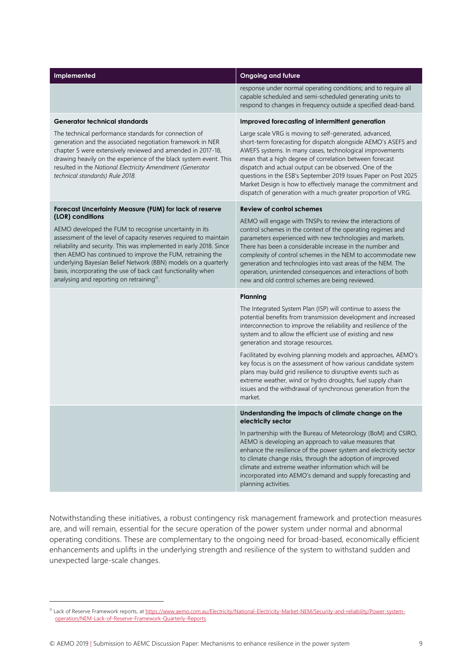| Implemented                                                                                                                                                                                                                                                                                                                                                                                                                                                                     | <b>Ongoing and future</b>                                                                                                                                                                                                                                                                                                                                                                                                                                                                                      |  |  |
|---------------------------------------------------------------------------------------------------------------------------------------------------------------------------------------------------------------------------------------------------------------------------------------------------------------------------------------------------------------------------------------------------------------------------------------------------------------------------------|----------------------------------------------------------------------------------------------------------------------------------------------------------------------------------------------------------------------------------------------------------------------------------------------------------------------------------------------------------------------------------------------------------------------------------------------------------------------------------------------------------------|--|--|
|                                                                                                                                                                                                                                                                                                                                                                                                                                                                                 | response under normal operating conditions; and to require all<br>capable scheduled and semi-scheduled generating units to<br>respond to changes in frequency outside a specified dead-band.                                                                                                                                                                                                                                                                                                                   |  |  |
| <b>Generator technical standards</b>                                                                                                                                                                                                                                                                                                                                                                                                                                            | Improved forecasting of intermittent generation                                                                                                                                                                                                                                                                                                                                                                                                                                                                |  |  |
| The technical performance standards for connection of<br>generation and the associated negotiation framework in NER<br>chapter 5 were extensively reviewed and amended in 2017-18,<br>drawing heavily on the experience of the black system event. This<br>resulted in the National Electricity Amendment (Generator<br>technical standards) Rule 2018.                                                                                                                         | Large scale VRG is moving to self-generated, advanced,<br>short-term forecasting for dispatch alongside AEMO's ASEFS and<br>AWEFS systems. In many cases, technological improvements<br>mean that a high degree of correlation between forecast<br>dispatch and actual output can be observed. One of the<br>questions in the ESB's September 2019 Issues Paper on Post 2025<br>Market Design is how to effectively manage the commitment and<br>dispatch of generation with a much greater proportion of VRG. |  |  |
| Forecast Uncertainty Measure (FUM) for lack of reserve                                                                                                                                                                                                                                                                                                                                                                                                                          | <b>Review of control schemes</b>                                                                                                                                                                                                                                                                                                                                                                                                                                                                               |  |  |
| (LOR) conditions<br>AEMO developed the FUM to recognise uncertainty in its<br>assessment of the level of capacity reserves required to maintain<br>reliability and security. This was implemented in early 2018. Since<br>then AEMO has continued to improve the FUM, retraining the<br>underlying Bayesian Belief Network (BBN) models on a quarterly<br>basis, incorporating the use of back cast functionality when<br>analysing and reporting on retraining <sup>11</sup> . | AEMO will engage with TNSPs to review the interactions of<br>control schemes in the context of the operating regimes and<br>parameters experienced with new technologies and markets.<br>There has been a considerable increase in the number and<br>complexity of control schemes in the NEM to accommodate new<br>generation and technologies into vast areas of the NEM. The<br>operation, unintended consequences and interactions of both<br>new and old control schemes are being reviewed.              |  |  |
|                                                                                                                                                                                                                                                                                                                                                                                                                                                                                 | Planning                                                                                                                                                                                                                                                                                                                                                                                                                                                                                                       |  |  |
|                                                                                                                                                                                                                                                                                                                                                                                                                                                                                 | The Integrated System Plan (ISP) will continue to assess the<br>potential benefits from transmission development and increased<br>interconnection to improve the reliability and resilience of the<br>system and to allow the efficient use of existing and new<br>generation and storage resources.                                                                                                                                                                                                           |  |  |
|                                                                                                                                                                                                                                                                                                                                                                                                                                                                                 | Facilitated by evolving planning models and approaches, AEMO's<br>key focus is on the assessment of how various candidate system<br>plans may build grid resilience to disruptive events such as<br>extreme weather, wind or hydro droughts, fuel supply chain<br>issues and the withdrawal of synchronous generation from the<br>market.                                                                                                                                                                      |  |  |
|                                                                                                                                                                                                                                                                                                                                                                                                                                                                                 | Understanding the impacts of climate change on the<br>electricity sector                                                                                                                                                                                                                                                                                                                                                                                                                                       |  |  |
|                                                                                                                                                                                                                                                                                                                                                                                                                                                                                 | In partnership with the Bureau of Meteorology (BoM) and CSIRO,<br>AEMO is developing an approach to value measures that<br>enhance the resilience of the power system and electricity sector<br>to climate change risks, through the adoption of improved<br>climate and extreme weather information which will be<br>incorporated into AEMO's demand and supply forecasting and<br>planning activities.                                                                                                       |  |  |

Notwithstanding these initiatives, a robust contingency risk management framework and protection measures are, and will remain, essential for the secure operation of the power system under normal and abnormal operating conditions. These are complementary to the ongoing need for broad-based, economically efficient enhancements and uplifts in the underlying strength and resilience of the system to withstand sudden and unexpected large-scale changes.

<sup>11</sup> Lack of Reserve Framework reports, a[t https://www.aemo.com.au/Electricity/National-Electricity-Market-NEM/Security-and-reliability/Power-system](https://www.aemo.com.au/Electricity/National-Electricity-Market-NEM/Security-and-reliability/Power-system-operation/NEM-Lack-of-Reserve-Framework-Quarterly-Reports)[operation/NEM-Lack-of-Reserve-Framework-Quarterly-Reports.](https://www.aemo.com.au/Electricity/National-Electricity-Market-NEM/Security-and-reliability/Power-system-operation/NEM-Lack-of-Reserve-Framework-Quarterly-Reports)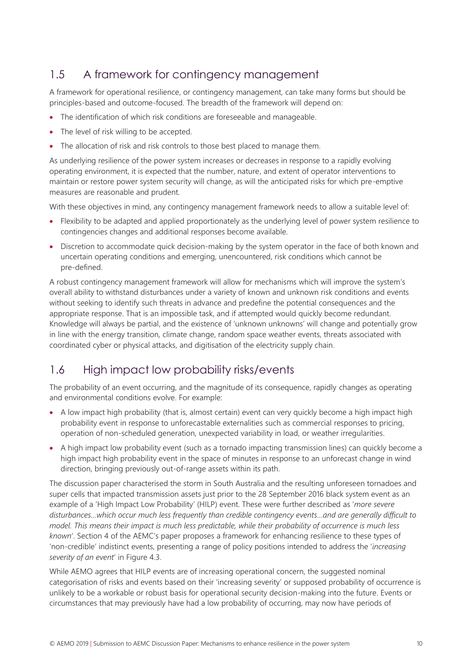## 1.5 A framework for contingency management

A framework for operational resilience, or contingency management, can take many forms but should be principles-based and outcome-focused. The breadth of the framework will depend on:

- The identification of which risk conditions are foreseeable and manageable.
- The level of risk willing to be accepted.
- The allocation of risk and risk controls to those best placed to manage them.

As underlying resilience of the power system increases or decreases in response to a rapidly evolving operating environment, it is expected that the number, nature, and extent of operator interventions to maintain or restore power system security will change, as will the anticipated risks for which pre-emptive measures are reasonable and prudent.

With these objectives in mind, any contingency management framework needs to allow a suitable level of:

- Flexibility to be adapted and applied proportionately as the underlying level of power system resilience to contingencies changes and additional responses become available.
- Discretion to accommodate quick decision-making by the system operator in the face of both known and uncertain operating conditions and emerging, unencountered, risk conditions which cannot be pre-defined.

A robust contingency management framework will allow for mechanisms which will improve the system's overall ability to withstand disturbances under a variety of known and unknown risk conditions and events without seeking to identify such threats in advance and predefine the potential consequences and the appropriate response. That is an impossible task, and if attempted would quickly become redundant. Knowledge will always be partial, and the existence of 'unknown unknowns' will change and potentially grow in line with the energy transition, climate change, random space weather events, threats associated with coordinated cyber or physical attacks, and digitisation of the electricity supply chain.

## 1.6 High impact low probability risks/events

The probability of an event occurring, and the magnitude of its consequence, rapidly changes as operating and environmental conditions evolve. For example:

- A low impact high probability (that is, almost certain) event can very quickly become a high impact high probability event in response to unforecastable externalities such as commercial responses to pricing, operation of non-scheduled generation, unexpected variability in load, or weather irregularities.
- A high impact low probability event (such as a tornado impacting transmission lines) can quickly become a high impact high probability event in the space of minutes in response to an unforecast change in wind direction, bringing previously out-of-range assets within its path.

The discussion paper characterised the storm in South Australia and the resulting unforeseen tornadoes and super cells that impacted transmission assets just prior to the 28 September 2016 black system event as an example of a 'High Impact Low Probability' (HILP) event. These were further described as '*more severe disturbances…which occur much less frequently than credible contingency events…and are generally difficult to model. This means their impact is much less predictable, while their probability of occurrence is much less known*'. Section 4 of the AEMC's paper proposes a framework for enhancing resilience to these types of 'non-credible' indistinct events, presenting a range of policy positions intended to address the '*increasing severity of an event*' in Figure 4.3.

While AEMO agrees that HILP events are of increasing operational concern, the suggested nominal categorisation of risks and events based on their 'increasing severity' or supposed probability of occurrence is unlikely to be a workable or robust basis for operational security decision-making into the future. Events or circumstances that may previously have had a low probability of occurring, may now have periods of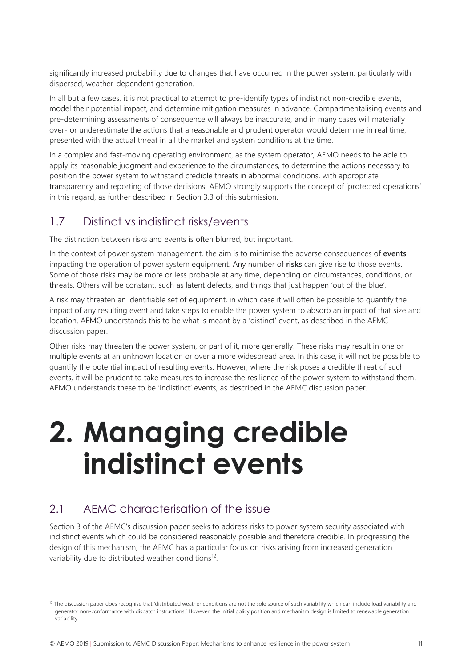significantly increased probability due to changes that have occurred in the power system, particularly with dispersed, weather-dependent generation.

In all but a few cases, it is not practical to attempt to pre-identify types of indistinct non-credible events, model their potential impact, and determine mitigation measures in advance. Compartmentalising events and pre-determining assessments of consequence will always be inaccurate, and in many cases will materially over- or underestimate the actions that a reasonable and prudent operator would determine in real time, presented with the actual threat in all the market and system conditions at the time.

In a complex and fast-moving operating environment, as the system operator, AEMO needs to be able to apply its reasonable judgment and experience to the circumstances, to determine the actions necessary to position the power system to withstand credible threats in abnormal conditions, with appropriate transparency and reporting of those decisions. AEMO strongly supports the concept of 'protected operations' in this regard, as further described in Sectio[n 3.3](#page-19-0) of this submission.

## 1.7 Distinct vs indistinct risks/events

The distinction between risks and events is often blurred, but important.

In the context of power system management, the aim is to minimise the adverse consequences of **events** impacting the operation of power system equipment. Any number of **risks** can give rise to those events. Some of those risks may be more or less probable at any time, depending on circumstances, conditions, or threats. Others will be constant, such as latent defects, and things that just happen 'out of the blue'.

A risk may threaten an identifiable set of equipment, in which case it will often be possible to quantify the impact of any resulting event and take steps to enable the power system to absorb an impact of that size and location. AEMO understands this to be what is meant by a 'distinct' event, as described in the AEMC discussion paper.

Other risks may threaten the power system, or part of it, more generally. These risks may result in one or multiple events at an unknown location or over a more widespread area. In this case, it will not be possible to quantify the potential impact of resulting events. However, where the risk poses a credible threat of such events, it will be prudent to take measures to increase the resilience of the power system to withstand them. AEMO understands these to be 'indistinct' events, as described in the AEMC discussion paper.

# **2. Managing credible indistinct events**

## 2.1 AEMC characterisation of the issue

 $\overline{a}$ 

Section 3 of the AEMC's discussion paper seeks to address risks to power system security associated with indistinct events which could be considered reasonably possible and therefore credible. In progressing the design of this mechanism, the AEMC has a particular focus on risks arising from increased generation variability due to distributed weather conditions<sup>12</sup>.

<sup>&</sup>lt;sup>12</sup> The discussion paper does recognise that 'distributed weather conditions are not the sole source of such variability which can include load variability and generator non-conformance with dispatch instructions.' However, the initial policy position and mechanism design is limited to renewable generation variability.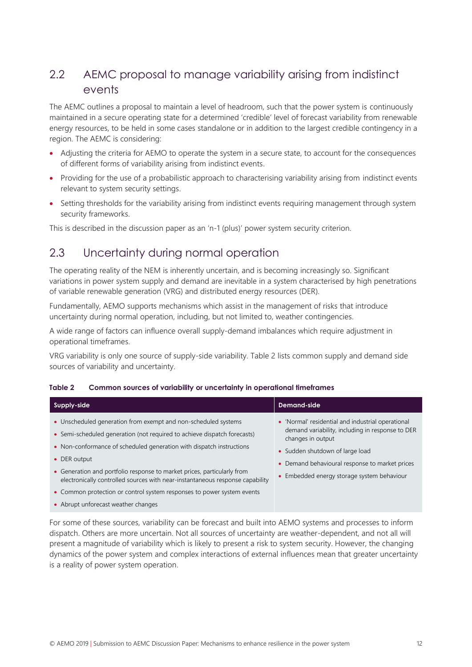## 2.2 AEMC proposal to manage variability arising from indistinct events

The AEMC outlines a proposal to maintain a level of headroom, such that the power system is continuously maintained in a secure operating state for a determined 'credible' level of forecast variability from renewable energy resources, to be held in some cases standalone or in addition to the largest credible contingency in a region. The AEMC is considering:

- Adjusting the criteria for AEMO to operate the system in a secure state, to account for the consequences of different forms of variability arising from indistinct events.
- Providing for the use of a probabilistic approach to characterising variability arising from indistinct events relevant to system security settings.
- Setting thresholds for the variability arising from indistinct events requiring management through system security frameworks.

This is described in the discussion paper as an 'n-1 (plus)' power system security criterion.

### 2.3 Uncertainty during normal operation

The operating reality of the NEM is inherently uncertain, and is becoming increasingly so. Significant variations in power system supply and demand are inevitable in a system characterised by high penetrations of variable renewable generation (VRG) and distributed energy resources (DER).

Fundamentally, AEMO supports mechanisms which assist in the management of risks that introduce uncertainty during normal operation, including, but not limited to, weather contingencies.

A wide range of factors can influence overall supply-demand imbalances which require adjustment in operational timeframes.

VRG variability is only one source of supply-side variability. [Table 2](#page-13-0) lists common supply and demand side sources of variability and uncertainty.

| Supply-side                                                                                                                                                                                                                                                                                                                                                                                                                                                              | Demand-side                                                                                                                                                                                                                                                   |
|--------------------------------------------------------------------------------------------------------------------------------------------------------------------------------------------------------------------------------------------------------------------------------------------------------------------------------------------------------------------------------------------------------------------------------------------------------------------------|---------------------------------------------------------------------------------------------------------------------------------------------------------------------------------------------------------------------------------------------------------------|
| • Unscheduled generation from exempt and non-scheduled systems<br>• Semi-scheduled generation (not required to achieve dispatch forecasts)<br>• Non-conformance of scheduled generation with dispatch instructions<br>• DER output<br>• Generation and portfolio response to market prices, particularly from<br>electronically controlled sources with near-instantaneous response capability<br>• Common protection or control system responses to power system events | • 'Normal' residential and industrial operational<br>demand variability, including in response to DER<br>changes in output<br>• Sudden shutdown of large load<br>• Demand behavioural response to market prices<br>• Embedded energy storage system behaviour |
| • Abrupt unforecast weather changes                                                                                                                                                                                                                                                                                                                                                                                                                                      |                                                                                                                                                                                                                                                               |

<span id="page-13-0"></span>

| Table 2 | Common sources of variability or uncertainty in operational timeframes |  |  |
|---------|------------------------------------------------------------------------|--|--|
|         |                                                                        |  |  |

For some of these sources, variability can be forecast and built into AEMO systems and processes to inform dispatch. Others are more uncertain. Not all sources of uncertainty are weather-dependent, and not all will present a magnitude of variability which is likely to present a risk to system security. However, the changing dynamics of the power system and complex interactions of external influences mean that greater uncertainty is a reality of power system operation.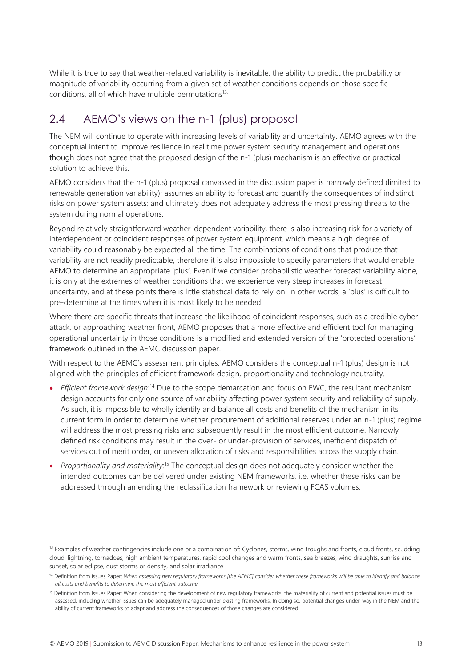While it is true to say that weather-related variability is inevitable, the ability to predict the probability or magnitude of variability occurring from a given set of weather conditions depends on those specific conditions, all of which have multiple permutations<sup>13.</sup>

## 2.4 AEMO's views on the n-1 (plus) proposal

The NEM will continue to operate with increasing levels of variability and uncertainty. AEMO agrees with the conceptual intent to improve resilience in real time power system security management and operations though does not agree that the proposed design of the n-1 (plus) mechanism is an effective or practical solution to achieve this.

AEMO considers that the n-1 (plus) proposal canvassed in the discussion paper is narrowly defined (limited to renewable generation variability); assumes an ability to forecast and quantify the consequences of indistinct risks on power system assets; and ultimately does not adequately address the most pressing threats to the system during normal operations.

Beyond relatively straightforward weather-dependent variability, there is also increasing risk for a variety of interdependent or coincident responses of power system equipment, which means a high degree of variability could reasonably be expected all the time. The combinations of conditions that produce that variability are not readily predictable, therefore it is also impossible to specify parameters that would enable AEMO to determine an appropriate 'plus'. Even if we consider probabilistic weather forecast variability alone, it is only at the extremes of weather conditions that we experience very steep increases in forecast uncertainty, and at these points there is little statistical data to rely on. In other words, a 'plus' is difficult to pre-determine at the times when it is most likely to be needed.

Where there are specific threats that increase the likelihood of coincident responses, such as a credible cyberattack, or approaching weather front, AEMO proposes that a more effective and efficient tool for managing operational uncertainty in those conditions is a modified and extended version of the 'protected operations' framework outlined in the AEMC discussion paper.

With respect to the AEMC's assessment principles, AEMO considers the conceptual n-1 (plus) design is not aligned with the principles of efficient framework design, proportionality and technology neutrality.

- *Efficient framework design*:<sup>14</sup> Due to the scope demarcation and focus on EWC, the resultant mechanism design accounts for only one source of variability affecting power system security and reliability of supply. As such, it is impossible to wholly identify and balance all costs and benefits of the mechanism in its current form in order to determine whether procurement of additional reserves under an n-1 (plus) regime will address the most pressing risks and subsequently result in the most efficient outcome. Narrowly defined risk conditions may result in the over- or under-provision of services, inefficient dispatch of services out of merit order, or uneven allocation of risks and responsibilities across the supply chain.
- *Proportionality and materiality*:<sup>15</sup> The conceptual design does not adequately consider whether the intended outcomes can be delivered under existing NEM frameworks. i.e. whether these risks can be addressed through amending the reclassification framework or reviewing FCAS volumes.

<sup>&</sup>lt;sup>13</sup> Examples of weather contingencies include one or a combination of: Cyclones, storms, wind troughs and fronts, cloud fronts, scudding cloud, lightning, tornadoes, high ambient temperatures, rapid cool changes and warm fronts, sea breezes, wind draughts, sunrise and sunset, solar eclipse, dust storms or density, and solar irradiance.

<sup>&</sup>lt;sup>14</sup> Definition from Issues Paper: When assessing new regulatory frameworks [the AEMC] consider whether these frameworks will be able to identify and balance *all costs and benefits to determine the most efficient outcome.*

<sup>&</sup>lt;sup>15</sup> Definition from Issues Paper: When considering the development of new regulatory frameworks, the materiality of current and potential issues must be assessed, including whether issues can be adequately managed under existing frameworks. In doing so, potential changes under-way in the NEM and the ability of current frameworks to adapt and address the consequences of those changes are considered.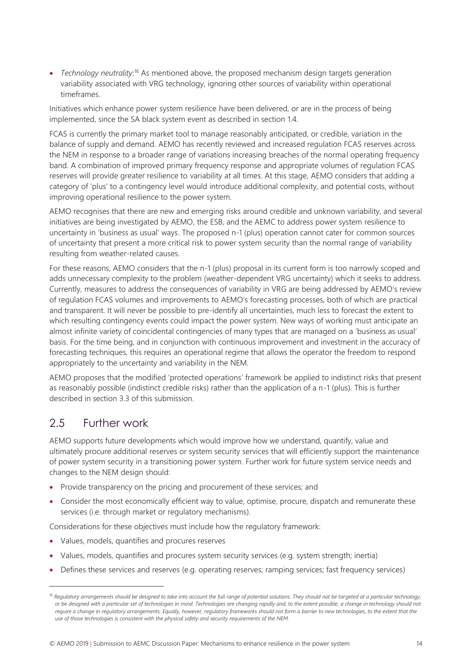• *Technology neutrality*:<sup>16</sup> As mentioned above, the proposed mechanism design targets generation variability associated with VRG technology, ignoring other sources of variability within operational timeframes.

Initiatives which enhance power system resilience have been delivered, or are in the process of being implemented, since the SA black system event as described in section [1.4.](#page-9-1)

FCAS is currently the primary market tool to manage reasonably anticipated, or credible, variation in the balance of supply and demand. AEMO has recently reviewed and increased regulation FCAS reserves across the NEM in response to a broader range of variations increasing breaches of the normal operating frequency band. A combination of improved primary frequency response and appropriate volumes of regulation FCAS reserves will provide greater resilience to variability at all times. At this stage, AEMO considers that adding a category of 'plus' to a contingency level would introduce additional complexity, and potential costs, without improving operational resilience to the power system.

AEMO recognises that there are new and emerging risks around credible and unknown variability, and several initiatives are being investigated by AEMO, the ESB, and the AEMC to address power system resilience to uncertainty in 'business as usual' ways. The proposed n-1 (plus) operation cannot cater for common sources of uncertainty that present a more critical risk to power system security than the normal range of variability resulting from weather-related causes.

For these reasons, AEMO considers that the n-1 (plus) proposal in its current form is too narrowly scoped and adds unnecessary complexity to the problem (weather-dependent VRG uncertainty) which it seeks to address. Currently, measures to address the consequences of variability in VRG are being addressed by AEMO's review of regulation FCAS volumes and improvements to AEMO's forecasting processes, both of which are practical and transparent. It will never be possible to pre-identify all uncertainties, much less to forecast the extent to which resulting contingency events could impact the power system. New ways of working must anticipate an almost infinite variety of coincidental contingencies of many types that are managed on a 'business as usual' basis. For the time being, and in conjunction with continuous improvement and investment in the accuracy of forecasting techniques, this requires an operational regime that allows the operator the freedom to respond appropriately to the uncertainty and variability in the NEM.

AEMO proposes that the modified 'protected operations' framework be applied to indistinct risks that present as reasonably possible (indistinct credible risks) rather than the application of a n-1 (plus). This is further described in section [3.3](#page-19-0) of this submission.

#### 2.5 Further work

 $\overline{a}$ 

AEMO supports future developments which would improve how we understand, quantify, value and ultimately procure additional reserves or system security services that will efficiently support the maintenance of power system security in a transitioning power system. Further work for future system service needs and changes to the NEM design should:

- Provide transparency on the pricing and procurement of these services; and
- Consider the most economically efficient way to value, optimise, procure, dispatch and remunerate these services (i.e. through market or regulatory mechanisms).

Considerations for these objectives must include how the regulatory framework:

- Values, models, quantifies and procures reserves
- Values, models, quantifies and procures system security services (e.g. system strength; inertia)
- Defines these services and reserves (e.g. operating reserves; ramping services; fast frequency services)

<sup>&</sup>lt;sup>16</sup> Regulatory arrangements should be designed to take into account the full range of potential solutions. They should not be targeted at a particular technology, *or be designed with a particular set of technologies in mind. Technologies are changing rapidly and, to the extent possible, a change in technology should not require a change in regulatory arrangements. Equally, however, regulatory frameworks should not form a barrier to new technologies, to the extent that the use of those technologies is consistent with the physical safety and security requirements of the NEM.*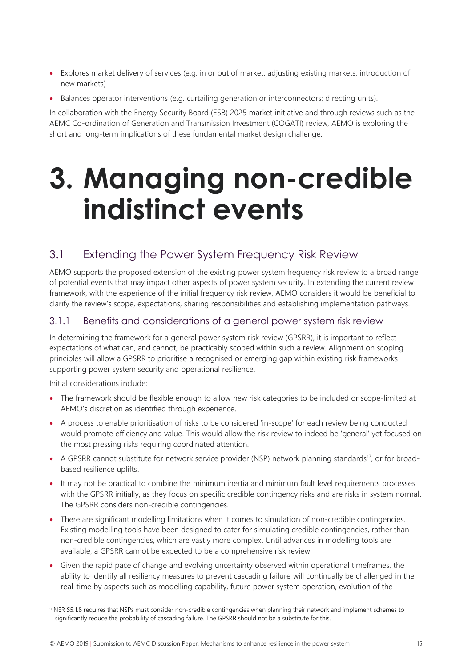- Explores market delivery of services (e.g. in or out of market; adjusting existing markets; introduction of new markets)
- Balances operator interventions (e.g. curtailing generation or interconnectors; directing units).

In collaboration with the Energy Security Board (ESB) 2025 market initiative and through reviews such as the AEMC Co-ordination of Generation and Transmission Investment (COGATI) review, AEMO is exploring the short and long-term implications of these fundamental market design challenge.

## **3. Managing non-credible indistinct events**

## 3.1 Extending the Power System Frequency Risk Review

AEMO supports the proposed extension of the existing power system frequency risk review to a broad range of potential events that may impact other aspects of power system security. In extending the current review framework, with the experience of the initial frequency risk review, AEMO considers it would be beneficial to clarify the review's scope, expectations, sharing responsibilities and establishing implementation pathways.

#### 3.1.1 Benefits and considerations of a general power system risk review

In determining the framework for a general power system risk review (GPSRR), it is important to reflect expectations of what can, and cannot, be practicably scoped within such a review. Alignment on scoping principles will allow a GPSRR to prioritise a recognised or emerging gap within existing risk frameworks supporting power system security and operational resilience.

Initial considerations include:

- The framework should be flexible enough to allow new risk categories to be included or scope-limited at AEMO's discretion as identified through experience.
- A process to enable prioritisation of risks to be considered 'in-scope' for each review being conducted would promote efficiency and value. This would allow the risk review to indeed be 'general' yet focused on the most pressing risks requiring coordinated attention.
- A GPSRR cannot substitute for network service provider (NSP) network planning standards<sup>17</sup>, or for broadbased resilience uplifts.
- It may not be practical to combine the minimum inertia and minimum fault level requirements processes with the GPSRR initially, as they focus on specific credible contingency risks and are risks in system normal. The GPSRR considers non-credible contingencies.
- There are significant modelling limitations when it comes to simulation of non-credible contingencies. Existing modelling tools have been designed to cater for simulating credible contingencies, rather than non-credible contingencies, which are vastly more complex. Until advances in modelling tools are available, a GPSRR cannot be expected to be a comprehensive risk review.
- Given the rapid pace of change and evolving uncertainty observed within operational timeframes, the ability to identify all resiliency measures to prevent cascading failure will continually be challenged in the real-time by aspects such as modelling capability, future power system operation, evolution of the

<sup>17</sup> NER S5.1.8 requires that NSPs must consider non-credible contingencies when planning their network and implement schemes to significantly reduce the probability of cascading failure. The GPSRR should not be a substitute for this.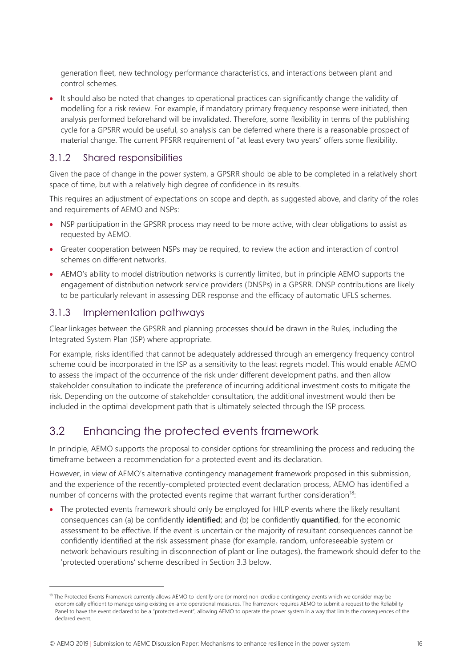generation fleet, new technology performance characteristics, and interactions between plant and control schemes.

• It should also be noted that changes to operational practices can significantly change the validity of modelling for a risk review. For example, if mandatory primary frequency response were initiated, then analysis performed beforehand will be invalidated. Therefore, some flexibility in terms of the publishing cycle for a GPSRR would be useful, so analysis can be deferred where there is a reasonable prospect of material change. The current PFSRR requirement of "at least every two years" offers some flexibility.

#### 3.1.2 Shared responsibilities

Given the pace of change in the power system, a GPSRR should be able to be completed in a relatively short space of time, but with a relatively high degree of confidence in its results.

This requires an adjustment of expectations on scope and depth, as suggested above, and clarity of the roles and requirements of AEMO and NSPs:

- NSP participation in the GPSRR process may need to be more active, with clear obligations to assist as requested by AEMO.
- Greater cooperation between NSPs may be required, to review the action and interaction of control schemes on different networks.
- AEMO's ability to model distribution networks is currently limited, but in principle AEMO supports the engagement of distribution network service providers (DNSPs) in a GPSRR. DNSP contributions are likely to be particularly relevant in assessing DER response and the efficacy of automatic UFLS schemes.

#### 3.1.3 Implementation pathways

 $\overline{a}$ 

Clear linkages between the GPSRR and planning processes should be drawn in the Rules, including the Integrated System Plan (ISP) where appropriate.

For example, risks identified that cannot be adequately addressed through an emergency frequency control scheme could be incorporated in the ISP as a sensitivity to the least regrets model. This would enable AEMO to assess the impact of the occurrence of the risk under different development paths, and then allow stakeholder consultation to indicate the preference of incurring additional investment costs to mitigate the risk. Depending on the outcome of stakeholder consultation, the additional investment would then be included in the optimal development path that is ultimately selected through the ISP process.

### 3.2 Enhancing the protected events framework

In principle, AEMO supports the proposal to consider options for streamlining the process and reducing the timeframe between a recommendation for a protected event and its declaration.

However, in view of AEMO's alternative contingency management framework proposed in this submission, and the experience of the recently-completed protected event declaration process, AEMO has identified a number of concerns with the protected events regime that warrant further consideration<sup>18</sup>:

• The protected events framework should only be employed for HILP events where the likely resultant consequences can (a) be confidently **identified**; and (b) be confidently **quantified**, for the economic assessment to be effective. If the event is uncertain or the majority of resultant consequences cannot be confidently identified at the risk assessment phase (for example, random, unforeseeable system or network behaviours resulting in disconnection of plant or line outages), the framework should defer to the 'protected operations' scheme described in Sectio[n 3.3](#page-19-0) below.

<sup>&</sup>lt;sup>18</sup> The Protected Events Framework currently allows AEMO to identify one (or more) non-credible contingency events which we consider may be economically efficient to manage using existing ex-ante operational measures. The framework requires AEMO to submit a request to the Reliability Panel to have the event declared to be a "protected event", allowing AEMO to operate the power system in a way that limits the consequences of the declared event.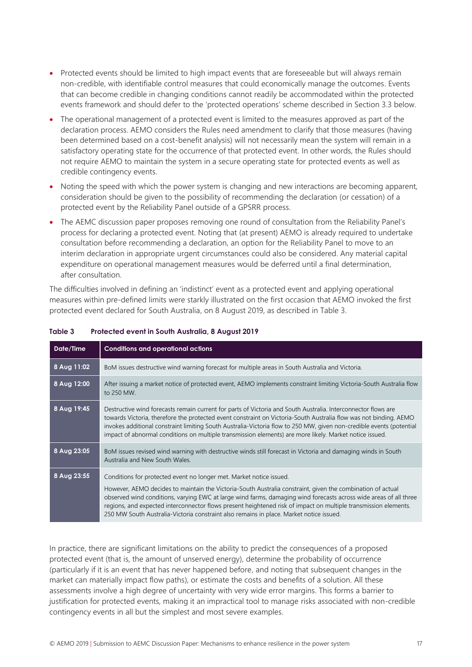- Protected events should be limited to high impact events that are foreseeable but will always remain non-credible, with identifiable control measures that could economically manage the outcomes. Events that can become credible in changing conditions cannot readily be accommodated within the protected events framework and should defer to the 'protected operations' scheme described in Section [3.3](#page-19-0) below.
- The operational management of a protected event is limited to the measures approved as part of the declaration process. AEMO considers the Rules need amendment to clarify that those measures (having been determined based on a cost-benefit analysis) will not necessarily mean the system will remain in a satisfactory operating state for the occurrence of that protected event. In other words, the Rules should not require AEMO to maintain the system in a secure operating state for protected events as well as credible contingency events.
- Noting the speed with which the power system is changing and new interactions are becoming apparent, consideration should be given to the possibility of recommending the declaration (or cessation) of a protected event by the Reliability Panel outside of a GPSRR process.
- The AEMC discussion paper proposes removing one round of consultation from the Reliability Panel's process for declaring a protected event. Noting that (at present) AEMO is already required to undertake consultation before recommending a declaration, an option for the Reliability Panel to move to an interim declaration in appropriate urgent circumstances could also be considered. Any material capital expenditure on operational management measures would be deferred until a final determination, after consultation.

The difficulties involved in defining an 'indistinct' event as a protected event and applying operational measures within pre-defined limits were starkly illustrated on the first occasion that AEMO invoked the first protected event declared for South Australia, on 8 August 2019, as described i[n Table 3.](#page-18-0)

| Date/Time   | <b>Conditions and operational actions</b>                                                                                                                                                                                                                                                                                                                                                                                                                                                                            |
|-------------|----------------------------------------------------------------------------------------------------------------------------------------------------------------------------------------------------------------------------------------------------------------------------------------------------------------------------------------------------------------------------------------------------------------------------------------------------------------------------------------------------------------------|
| 8 Aug 11:02 | BoM issues destructive wind warning forecast for multiple areas in South Australia and Victoria.                                                                                                                                                                                                                                                                                                                                                                                                                     |
| 8 Aug 12:00 | After issuing a market notice of protected event, AEMO implements constraint limiting Victoria-South Australia flow<br>to 250 MW.                                                                                                                                                                                                                                                                                                                                                                                    |
| 8 Aug 19:45 | Destructive wind forecasts remain current for parts of Victoria and South Australia. Interconnector flows are<br>towards Victoria, therefore the protected event constraint on Victoria-South Australia flow was not binding. AEMO<br>invokes additional constraint limiting South Australia-Victoria flow to 250 MW, given non-credible events (potential<br>impact of abnormal conditions on multiple transmission elements) are more likely. Market notice issued.                                                |
| 8 Aug 23:05 | BoM issues revised wind warning with destructive winds still forecast in Victoria and damaging winds in South<br>Australia and New South Wales.                                                                                                                                                                                                                                                                                                                                                                      |
| 8 Aug 23:55 | Conditions for protected event no longer met. Market notice issued.<br>However, AEMO decides to maintain the Victoria-South Australia constraint, given the combination of actual<br>observed wind conditions, varying EWC at large wind farms, damaging wind forecasts across wide areas of all three<br>regions, and expected interconnector flows present heightened risk of impact on multiple transmission elements.<br>250 MW South Australia-Victoria constraint also remains in place. Market notice issued. |

#### <span id="page-18-0"></span>**Table 3 Protected event in South Australia, 8 August 2019**

In practice, there are significant limitations on the ability to predict the consequences of a proposed protected event (that is, the amount of unserved energy), determine the probability of occurrence (particularly if it is an event that has never happened before, and noting that subsequent changes in the market can materially impact flow paths), or estimate the costs and benefits of a solution. All these assessments involve a high degree of uncertainty with very wide error margins. This forms a barrier to justification for protected events, making it an impractical tool to manage risks associated with non-credible contingency events in all but the simplest and most severe examples.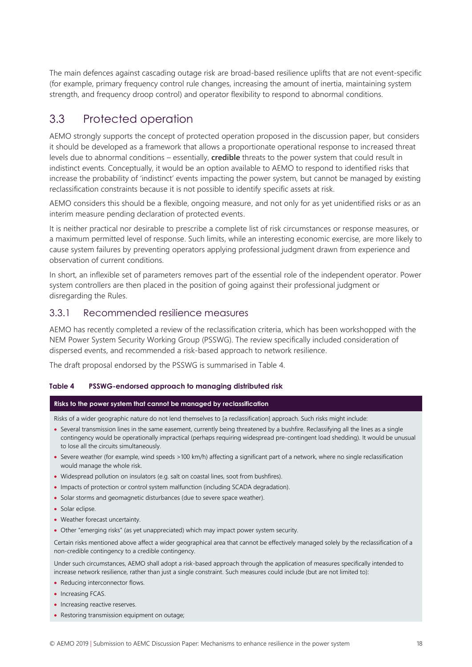The main defences against cascading outage risk are broad-based resilience uplifts that are not event-specific (for example, primary frequency control rule changes, increasing the amount of inertia, maintaining system strength, and frequency droop control) and operator flexibility to respond to abnormal conditions.

## <span id="page-19-0"></span>3.3 Protected operation

AEMO strongly supports the concept of protected operation proposed in the discussion paper, but considers it should be developed as a framework that allows a proportionate operational response to increased threat levels due to abnormal conditions – essentially, **credible** threats to the power system that could result in indistinct events. Conceptually, it would be an option available to AEMO to respond to identified risks that increase the probability of 'indistinct' events impacting the power system, but cannot be managed by existing reclassification constraints because it is not possible to identify specific assets at risk.

AEMO considers this should be a flexible, ongoing measure, and not only for as yet unidentified risks or as an interim measure pending declaration of protected events.

It is neither practical nor desirable to prescribe a complete list of risk circumstances or response measures, or a maximum permitted level of response. Such limits, while an interesting economic exercise, are more likely to cause system failures by preventing operators applying professional judgment drawn from experience and observation of current conditions.

In short, an inflexible set of parameters removes part of the essential role of the independent operator. Power system controllers are then placed in the position of going against their professional judgment or disregarding the Rules.

#### 3.3.1 Recommended resilience measures

AEMO has recently completed a review of the reclassification criteria, which has been workshopped with the NEM Power System Security Working Group (PSSWG). The review specifically included consideration of dispersed events, and recommended a risk-based approach to network resilience.

The draft proposal endorsed by the PSSWG is summarised in [Table 4.](#page-19-1)

#### <span id="page-19-1"></span>**Table 4 PSSWG-endorsed approach to managing distributed risk**

#### **Risks to the power system that cannot be managed by reclassification**

Risks of a wider geographic nature do not lend themselves to [a reclassification] approach. Such risks might include:

- Several transmission lines in the same easement, currently being threatened by a bushfire. Reclassifying all the lines as a single contingency would be operationally impractical (perhaps requiring widespread pre-contingent load shedding). It would be unusual to lose all the circuits simultaneously.
- Severe weather (for example, wind speeds >100 km/h) affecting a significant part of a network, where no single reclassification would manage the whole risk.
- Widespread pollution on insulators (e.g. salt on coastal lines, soot from bushfires).
- Impacts of protection or control system malfunction (including SCADA degradation).
- Solar storms and geomagnetic disturbances (due to severe space weather).
- Solar eclipse.
- Weather forecast uncertainty.
- Other "emerging risks" (as yet unappreciated) which may impact power system security.

Certain risks mentioned above affect a wider geographical area that cannot be effectively managed solely by the reclassification of a non-credible contingency to a credible contingency.

Under such circumstances, AEMO shall adopt a risk-based approach through the application of measures specifically intended to increase network resilience, rather than just a single constraint. Such measures could include (but are not limited to):

- Reducing interconnector flows.
- Increasing FCAS.
- Increasing reactive reserves.
- Restoring transmission equipment on outage;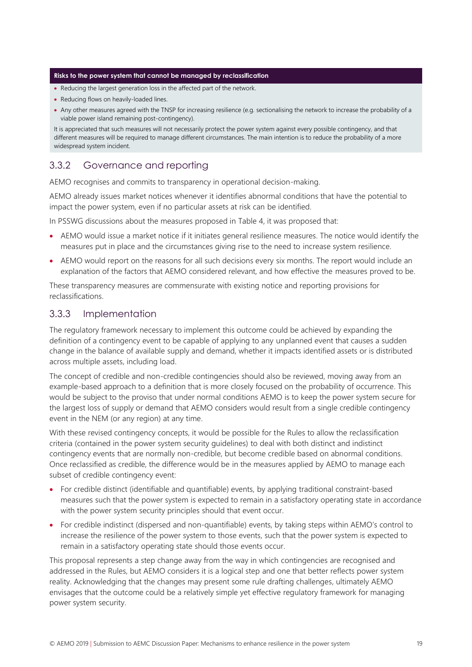#### **Risks to the power system that cannot be managed by reclassification**

- Reducing the largest generation loss in the affected part of the network.
- Reducing flows on heavily-loaded lines.
- Any other measures agreed with the TNSP for increasing resilience (e.g. sectionalising the network to increase the probability of a viable power island remaining post-contingency).

It is appreciated that such measures will not necessarily protect the power system against every possible contingency, and that different measures will be required to manage different circumstances. The main intention is to reduce the probability of a more widespread system incident.

#### 3.3.2 Governance and reporting

AEMO recognises and commits to transparency in operational decision-making.

AEMO already issues market notices whenever it identifies abnormal conditions that have the potential to impact the power system, even if no particular assets at risk can be identified.

In PSSWG discussions about the measures proposed in [Table 4,](#page-19-1) it was proposed that:

- AEMO would issue a market notice if it initiates general resilience measures. The notice would identify the measures put in place and the circumstances giving rise to the need to increase system resilience.
- AEMO would report on the reasons for all such decisions every six months. The report would include an explanation of the factors that AEMO considered relevant, and how effective the measures proved to be.

These transparency measures are commensurate with existing notice and reporting provisions for reclassifications.

#### 3.3.3 Implementation

The regulatory framework necessary to implement this outcome could be achieved by expanding the definition of a contingency event to be capable of applying to any unplanned event that causes a sudden change in the balance of available supply and demand, whether it impacts identified assets or is distributed across multiple assets, including load.

The concept of credible and non-credible contingencies should also be reviewed, moving away from an example-based approach to a definition that is more closely focused on the probability of occurrence. This would be subject to the proviso that under normal conditions AEMO is to keep the power system secure for the largest loss of supply or demand that AEMO considers would result from a single credible contingency event in the NEM (or any region) at any time.

With these revised contingency concepts, it would be possible for the Rules to allow the reclassification criteria (contained in the power system security guidelines) to deal with both distinct and indistinct contingency events that are normally non-credible, but become credible based on abnormal conditions. Once reclassified as credible, the difference would be in the measures applied by AEMO to manage each subset of credible contingency event:

- For credible distinct (identifiable and quantifiable) events, by applying traditional constraint-based measures such that the power system is expected to remain in a satisfactory operating state in accordance with the power system security principles should that event occur.
- For credible indistinct (dispersed and non-quantifiable) events, by taking steps within AEMO's control to increase the resilience of the power system to those events, such that the power system is expected to remain in a satisfactory operating state should those events occur.

This proposal represents a step change away from the way in which contingencies are recognised and addressed in the Rules, but AEMO considers it is a logical step and one that better reflects power system reality. Acknowledging that the changes may present some rule drafting challenges, ultimately AEMO envisages that the outcome could be a relatively simple yet effective regulatory framework for managing power system security.